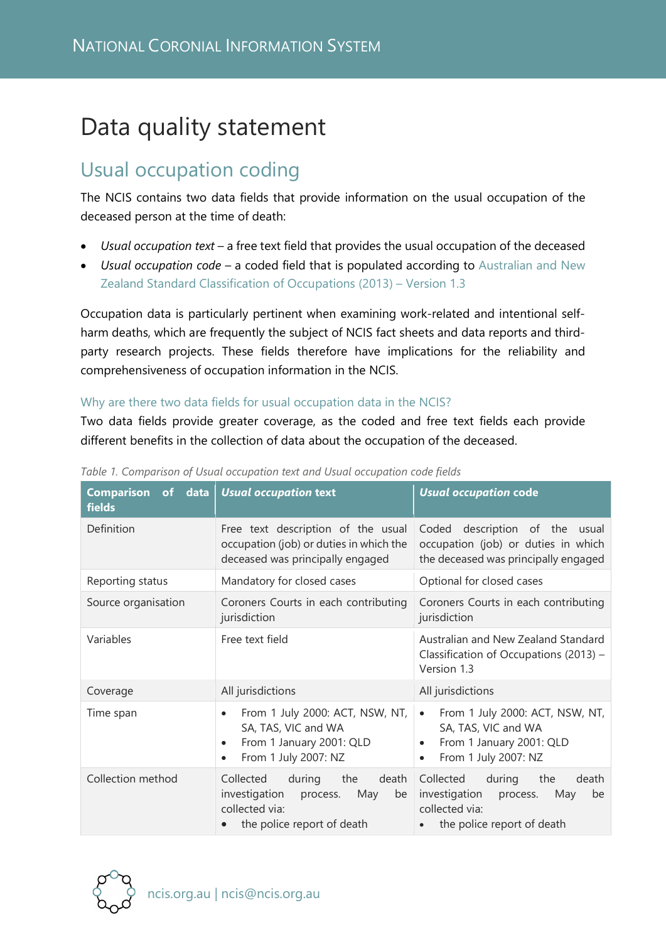# Data quality statement

# Usual occupation coding

The NCIS contains two data fields that provide information on the usual occupation of the deceased person at the time of death:

- *Usual occupation text* a free text field that provides the usual occupation of the deceased
- *Usual occupation code*  a coded field that is populated according to [Australian and New](https://www.abs.gov.au/ausstats/abs@.nsf/Latestproducts/1220.0Main%20Features22013,%20Version%201.3?opendocument&tabname=Summary&prodno=1220.0&issue=2013,%20Version%201.3&num=&view=)  [Zealand Standard Classification of Occupations \(2013\) – Version 1.3](https://www.abs.gov.au/ausstats/abs@.nsf/Latestproducts/1220.0Main%20Features22013,%20Version%201.3?opendocument&tabname=Summary&prodno=1220.0&issue=2013,%20Version%201.3&num=&view=)

Occupation data is particularly pertinent when examining work-related and intentional selfharm deaths, which are frequently the subject of NCIS fact sheets and data reports and thirdparty research projects. These fields therefore have implications for the reliability and comprehensiveness of occupation information in the NCIS.

## Why are there two data fields for usual occupation data in the NCIS?

Two data fields provide greater coverage, as the coded and free text fields each provide different benefits in the collection of data about the occupation of the deceased.

| Comparison of data<br><b>fields</b> | Usual occupation text                                                                                                                             | <b>Usual occupation code</b>                                                                                                              |
|-------------------------------------|---------------------------------------------------------------------------------------------------------------------------------------------------|-------------------------------------------------------------------------------------------------------------------------------------------|
| Definition                          | Free text description of the usual<br>occupation (job) or duties in which the<br>deceased was principally engaged                                 | Coded description of the<br>usual<br>occupation (job) or duties in which<br>the deceased was principally engaged                          |
| Reporting status                    | Mandatory for closed cases                                                                                                                        | Optional for closed cases                                                                                                                 |
| Source organisation                 | Coroners Courts in each contributing<br>jurisdiction                                                                                              | Coroners Courts in each contributing<br>jurisdiction                                                                                      |
| Variables                           | Free text field                                                                                                                                   | Australian and New Zealand Standard<br>Classification of Occupations (2013) -<br>Version 1.3                                              |
| Coverage                            | All jurisdictions                                                                                                                                 | All jurisdictions                                                                                                                         |
| Time span                           | From 1 July 2000: ACT, NSW, NT,<br>$\bullet$<br>SA, TAS, VIC and WA<br>From 1 January 2001: QLD<br>$\bullet$<br>From 1 July 2007: NZ<br>$\bullet$ | From 1 July 2000: ACT, NSW, NT,<br>$\bullet$<br>SA, TAS, VIC and WA<br>From 1 January 2001: QLD<br>٠<br>From 1 July 2007: NZ<br>$\bullet$ |
| Collection method                   | Collected during the<br>death<br>investigation process.<br>May<br>be<br>collected via:<br>the police report of death                              | Collected during the<br>death<br>investigation process.<br>May<br>be<br>collected via:<br>the police report of death                      |

*Table 1. Comparison of Usual occupation text and Usual occupation code fields*

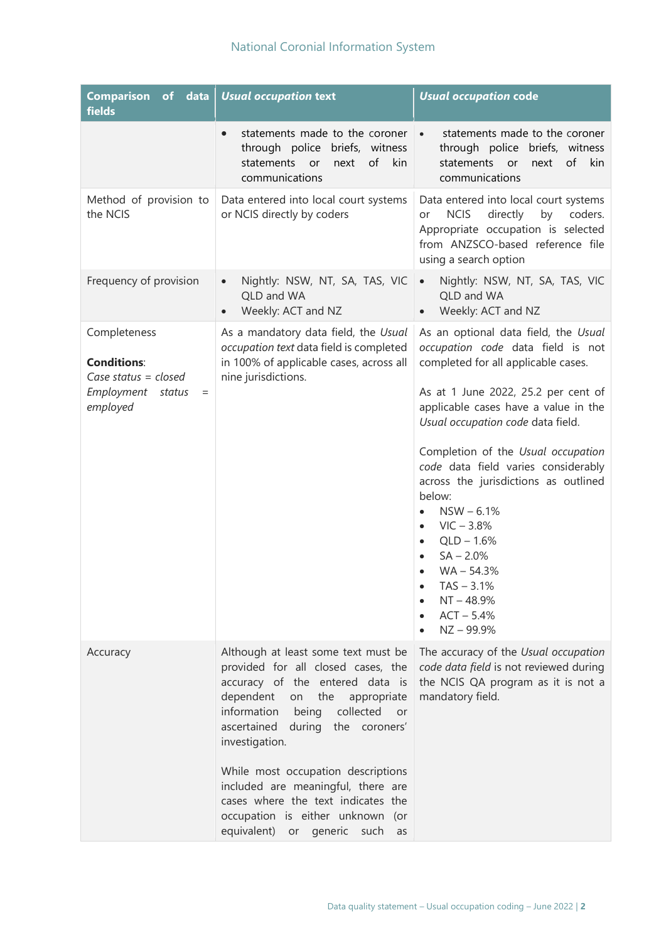| <b>Comparison of data</b><br>fields                                                                     | <b>Usual occupation text</b>                                                                                                                                                                                                                                                                                                                                                                                                                   | <b>Usual occupation code</b>                                                                                                                                                                                                                                                                                                                                                                                                                                                                                                                                           |
|---------------------------------------------------------------------------------------------------------|------------------------------------------------------------------------------------------------------------------------------------------------------------------------------------------------------------------------------------------------------------------------------------------------------------------------------------------------------------------------------------------------------------------------------------------------|------------------------------------------------------------------------------------------------------------------------------------------------------------------------------------------------------------------------------------------------------------------------------------------------------------------------------------------------------------------------------------------------------------------------------------------------------------------------------------------------------------------------------------------------------------------------|
|                                                                                                         | statements made to the coroner<br>$\bullet$<br>through police briefs, witness<br>of<br>kin<br>statements<br>or<br>next<br>communications                                                                                                                                                                                                                                                                                                       | statements made to the coroner<br>$\bullet$<br>through police briefs, witness<br>statements or<br>next<br>of kin<br>communications                                                                                                                                                                                                                                                                                                                                                                                                                                     |
| Method of provision to<br>the NCIS                                                                      | Data entered into local court systems<br>or NCIS directly by coders                                                                                                                                                                                                                                                                                                                                                                            | Data entered into local court systems<br><b>NCIS</b><br>directly<br>by<br>coders.<br>or<br>Appropriate occupation is selected<br>from ANZSCO-based reference file<br>using a search option                                                                                                                                                                                                                                                                                                                                                                             |
| Frequency of provision                                                                                  | Nightly: NSW, NT, SA, TAS, VIC<br>$\bullet$<br>QLD and WA<br>Weekly: ACT and NZ<br>$\bullet$                                                                                                                                                                                                                                                                                                                                                   | Nightly: NSW, NT, SA, TAS, VIC<br>$\bullet$<br>QLD and WA<br>Weekly: ACT and NZ<br>$\bullet$                                                                                                                                                                                                                                                                                                                                                                                                                                                                           |
| Completeness<br><b>Conditions:</b><br>Case status = $closed$<br>Employment<br>status<br>$=$<br>employed | As a mandatory data field, the Usual<br>occupation text data field is completed<br>in 100% of applicable cases, across all<br>nine jurisdictions.                                                                                                                                                                                                                                                                                              | As an optional data field, the Usual<br>occupation code data field is not<br>completed for all applicable cases.<br>As at 1 June 2022, 25.2 per cent of<br>applicable cases have a value in the<br>Usual occupation code data field.<br>Completion of the Usual occupation<br>code data field varies considerably<br>across the jurisdictions as outlined<br>below:<br>$NSW - 6.1%$<br>$\bullet$<br>$VIC - 3.8%$<br>$\bullet$<br>$QLD - 1.6%$<br>$\bullet$<br>$SA - 2.0%$<br>$\bullet$<br>$WA - 54.3%$<br>$TAS - 3.1%$<br>$NT - 48.9%$<br>$ACT - 5.4%$<br>$NZ - 99.9%$ |
| Accuracy                                                                                                | Although at least some text must be<br>provided for all closed cases, the<br>accuracy of the entered data is<br>dependent<br>on<br>the<br>appropriate<br>information<br>collected<br>being<br>or<br>ascertained during the coroners'<br>investigation.<br>While most occupation descriptions<br>included are meaningful, there are<br>cases where the text indicates the<br>occupation is either unknown (or<br>equivalent) or generic such as | The accuracy of the Usual occupation<br>code data field is not reviewed during<br>the NCIS QA program as it is not a<br>mandatory field.                                                                                                                                                                                                                                                                                                                                                                                                                               |